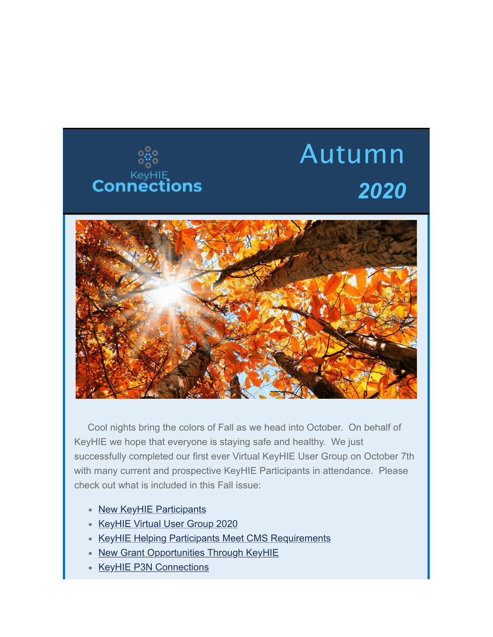

## Autumn *2020*



 Cool nights bring the colors of Fall as we head into October. On behalf of KeyHIE we hope that everyone is staying safe and healthy. We just successfully completed our first ever Virtual KeyHIE User Group on October 7th with many current and prospective KeyHIE Participants in attendance. Please check out what is included in this Fall issue:

- New KeyHIE Participants
- KeyHIE Virtual User Group 2020
- KeyHIE Helping Participants Meet CMS Requirements
- New Grant Opportunities Through KeyHIE
- KeyHIE P3N Connections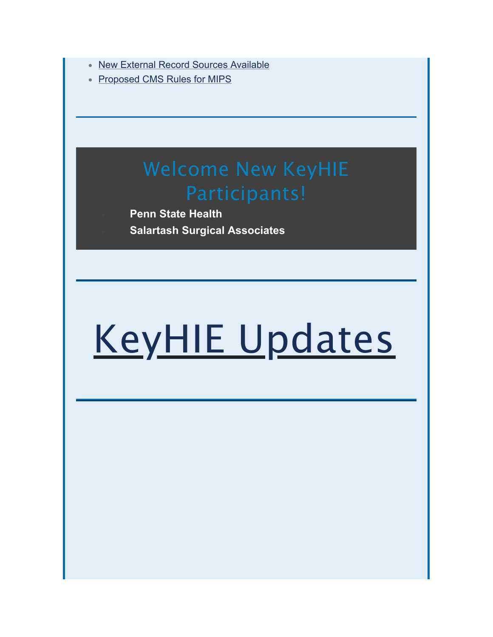- New External Record Sources Available
- Proposed CMS Rules for MIPS

# Welcome New KeyHIE

· **Penn State Health** · **Salartash Surgical Associates**

# KeyHIE Updates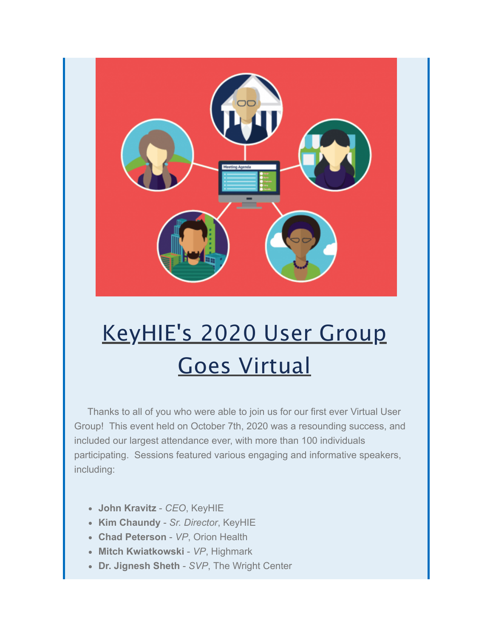

## KeyHIE's 2020 User Group Goes Virtual

 Thanks to all of you who were able to join us for our first ever Virtual User Group! This event held on October 7th, 2020 was a resounding success, and included our largest attendance ever, with more than 100 individuals participating. Sessions featured various engaging and informative speakers, including:

- **John Kravitz** *CEO*, KeyHIE
- **Kim Chaundy** *Sr. Director*, KeyHIE
- **Chad Peterson** *VP*, Orion Health
- **Mitch Kwiatkowski** *VP*, Highmark
- **Dr. Jignesh Sheth** *SVP*, The Wright Center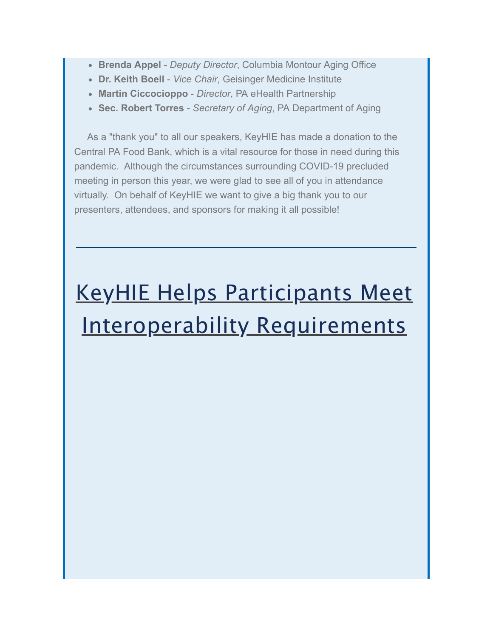- **Brenda Appel** *Deputy Director*, Columbia Montour Aging Office
- **Dr. Keith Boell** *Vice Chair*, Geisinger Medicine Institute
- **Martin Ciccocioppo** *Director*, PA eHealth Partnership
- **Sec. Robert Torres** *Secretary of Aging*, PA Department of Aging

 As a "thank you" to all our speakers, KeyHIE has made a donation to the Central PA Food Bank, which is a vital resource for those in need during this pandemic. Although the circumstances surrounding COVID-19 precluded meeting in person this year, we were glad to see all of you in attendance virtually. On behalf of KeyHIE we want to give a big thank you to our presenters, attendees, and sponsors for making it all possible!

## KeyHIE Helps Participants Meet Interoperability Requirements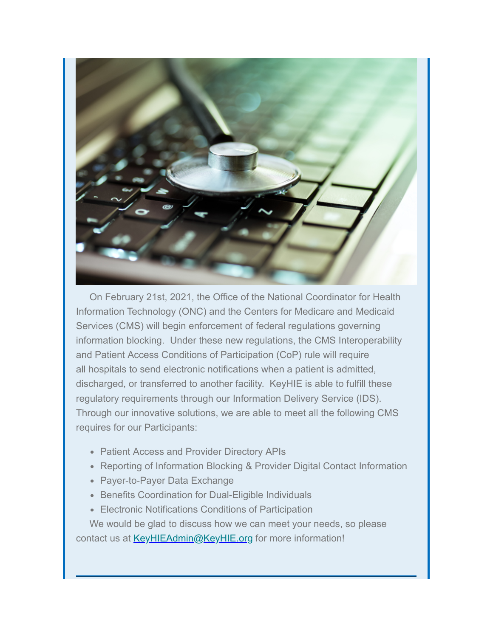

 On February 21st, 2021, the Office of the National Coordinator for Health Information Technology (ONC) and the Centers for Medicare and Medicaid Services (CMS) will begin enforcement of federal regulations governing information blocking. Under these new regulations, the CMS Interoperability and Patient Access Conditions of Participation (CoP) rule will require all hospitals to send electronic notifications when a patient is admitted, discharged, or transferred to another facility. KeyHIE is able to fulfill these regulatory requirements through our Information Delivery Service (IDS). Through our innovative solutions, we are able to meet all the following CMS requires for our Participants:

- Patient Access and Provider Directory APIs
- Reporting of Information Blocking & Provider Digital Contact Information
- Payer-to-Payer Data Exchange
- Benefits Coordination for Dual-Eligible Individuals
- Electronic Notifications Conditions of Participation

 We would be glad to discuss how we can meet your needs, so please contact us at [KeyHIEAdmin@KeyHIE.org](mailto:KeyHIEAdmin@KeyHIE.org) for more information!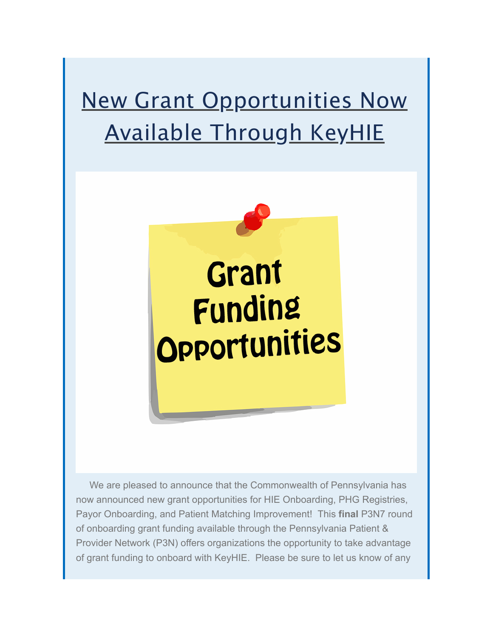### New Grant Opportunities Now Available Through KeyHIE



 We are pleased to announce that the Commonwealth of Pennsylvania has now announced new grant opportunities for HIE Onboarding, PHG Registries, Payor Onboarding, and Patient Matching Improvement! This **final** P3N7 round of onboarding grant funding available through the Pennsylvania Patient & Provider Network (P3N) offers organizations the opportunity to take advantage of grant funding to onboard with KeyHIE. Please be sure to let us know of any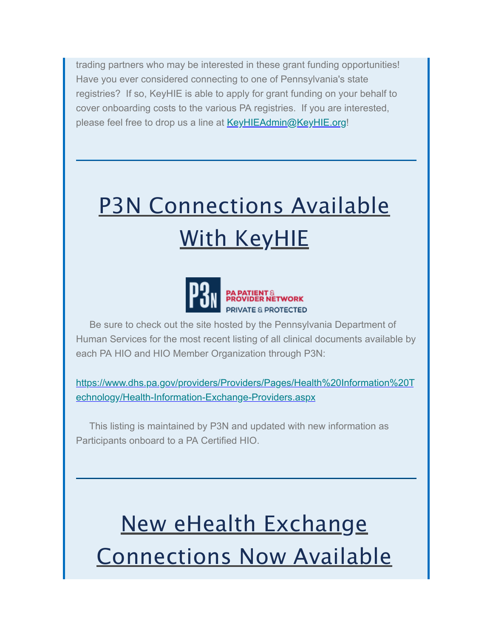trading partners who may be interested in these grant funding opportunities! Have you ever considered connecting to one of Pennsylvania's state registries? If so, KeyHIE is able to apply for grant funding on your behalf to cover onboarding costs to the various PA registries. If you are interested, please feel free to drop us a line at [KeyHIEAdmin@KeyHIE.org!](mailto:KeyHIEAdmin@KeyHIE.org)

## P3N Connections Available With KeyHIE



 Be sure to check out the site hosted by the Pennsylvania Department of Human Services for the most recent listing of all clinical documents available by each PA HIO and HIO Member Organization through P3N:

[https://www.dhs.pa.gov/providers/Providers/Pages/Health%20Information%20T](https://nam05.safelinks.protection.outlook.com/?url=https%3A%2F%2Fwww.dhs.pa.gov%2Fproviders%2FProviders%2FPages%2FHealth%2520Information%2520Technology%2FHealth-Information-Exchange-Providers.aspx&data=04%7C01%7Cjamuchler%40geisinger.edu%7C0f28d49fc15b48f8c57c08d8742e538f%7C37d46c567c664402a16055c2313b910d%7C0%7C0%7C637387089599758025%7CUnknown%7CTWFpbGZsb3d8eyJWIjoiMC4wLjAwMDAiLCJQIjoiV2luMzIiLCJBTiI6Ik1haWwiLCJXVCI6Mn0%3D%7C1000&sdata=Wi9LVVKjHBhXNiEFhN1cEdgM7N%2B0NBrqyfv9oLRlACA%3D&reserved=0) echnology/Health-Information-Exchange-Providers.aspx

 This listing is maintained by P3N and updated with new information as Participants onboard to a PA Certified HIO.

### New eHealth Exchange Connections Now Available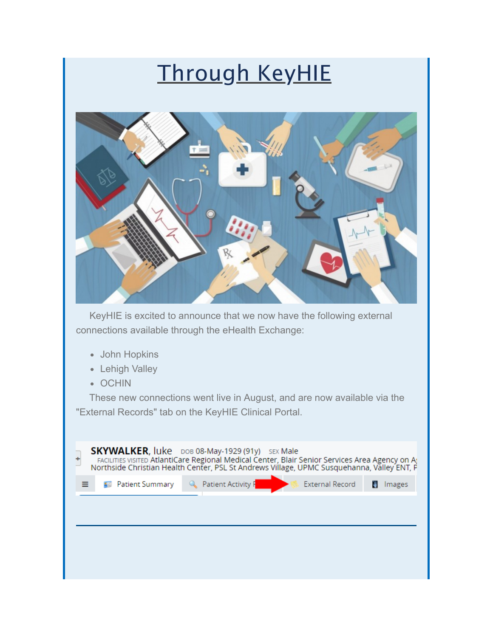#### Through KeyHIE



 KeyHIE is excited to announce that we now have the following external connections available through the eHealth Exchange:

- John Hopkins
- Lehigh Valley
- OCHIN

 These new connections went live in August, and are now available via the "External Records" tab on the KeyHIE Clinical Portal.

| <b>SKYWALKER, luke</b> DOB 08-May-1929 (91y) SEX Male<br>FACILITIES VISITED AtlantiCare Regional Medical Center, Blair Senior Services Area Agency on A:<br>Northside Christian Health Center, PSL St Andrews Village, UPMC Susquehanna, Valley ENT, P |        |
|--------------------------------------------------------------------------------------------------------------------------------------------------------------------------------------------------------------------------------------------------------|--------|
| <b>Q</b> Patient Activity F<br><b>External Record</b><br><b>B</b> Patient Summary                                                                                                                                                                      | Images |
|                                                                                                                                                                                                                                                        |        |
|                                                                                                                                                                                                                                                        |        |
|                                                                                                                                                                                                                                                        |        |
|                                                                                                                                                                                                                                                        |        |
|                                                                                                                                                                                                                                                        |        |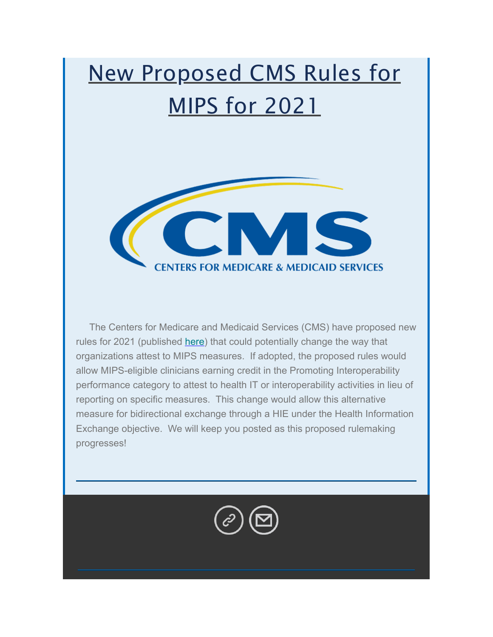#### New Proposed CMS Rules for MIPS for 2021



 The Centers for Medicare and Medicaid Services (CMS) have proposed new rules for 2021 (published [here\)](https://nam05.safelinks.protection.outlook.com/?url=https%3A%2F%2Fwww.federalregister.gov%2Fdocuments%2F2019%2F08%2F14%2F2019-16041%2Fmedicare-program-cy-2020-revisions-to-payment-policies-under-the-physician-fee-schedule-and-other&data=04%7C01%7Cjamuchler%40geisinger.edu%7C0f28d49fc15b48f8c57c08d8742e538f%7C37d46c567c664402a16055c2313b910d%7C0%7C0%7C637387089599778016%7CUnknown%7CTWFpbGZsb3d8eyJWIjoiMC4wLjAwMDAiLCJQIjoiV2luMzIiLCJBTiI6Ik1haWwiLCJXVCI6Mn0%3D%7C1000&sdata=8SIHeTBUlGFF12yBThW084SVjN6%2Fjkxt9Buh2nC3gjo%3D&reserved=0) that could potentially change the way that organizations attest to MIPS measures. If adopted, the proposed rules would allow MIPS-eligible clinicians earning credit in the Promoting Interoperability performance category to attest to health IT or interoperability activities in lieu of reporting on specific measures. This change would allow this alternative measure for bidirectional exchange through a HIE under the Health Information Exchange objective. We will keep you posted as this proposed rulemaking progresses!